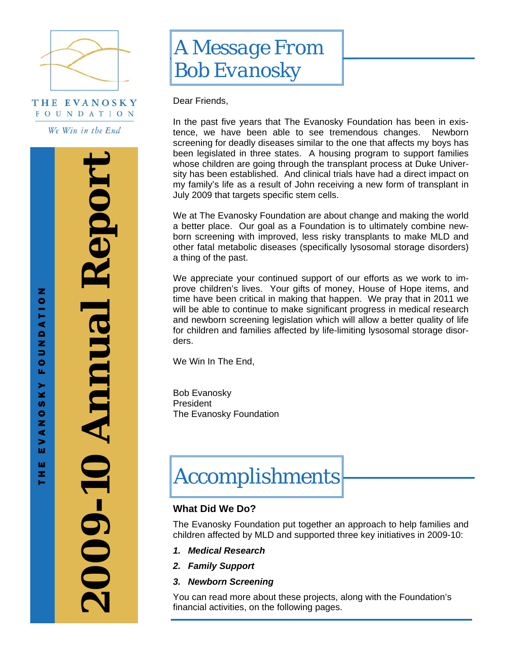

THE EVANOSKY **FOUNDATION** 

We Win in the End

**2009-10 Annual Report**  2009-10 Annual Report

THE EVANOSKY FOUNDATION

**X X u**  $\bullet$ z ⋖  $\geq$ 

ш × e.

z

**FOUNDATIO** 



Dear Friends,

In the past five years that The Evanosky Foundation has been in existence, we have been able to see tremendous changes. Newborn screening for deadly diseases similar to the one that affects my boys has been legislated in three states. A housing program to support families whose children are going through the transplant process at Duke University has been established. And clinical trials have had a direct impact on my family's life as a result of John receiving a new form of transplant in July 2009 that targets specific stem cells.

We at The Evanosky Foundation are about change and making the world a better place. Our goal as a Foundation is to ultimately combine newborn screening with improved, less risky transplants to make MLD and other fatal metabolic diseases (specifically lysosomal storage disorders) a thing of the past.

We appreciate your continued support of our efforts as we work to improve children's lives. Your gifts of money, House of Hope items, and time have been critical in making that happen. We pray that in 2011 we will be able to continue to make significant progress in medical research and newborn screening legislation which will allow a better quality of life for children and families affected by life-limiting lysosomal storage disorders.

We Win In The End,

Bob Evanosky President The Evanosky Foundation

# *Accomplishments*

# **What Did We Do?**

The Evanosky Foundation put together an approach to help families and children affected by MLD and supported three key initiatives in 2009-10:

- *1. Medical Research*
- *2. Family Support*
- *3. Newborn Screening*

You can read more about these projects, along with the Foundation's financial activities, on the following pages.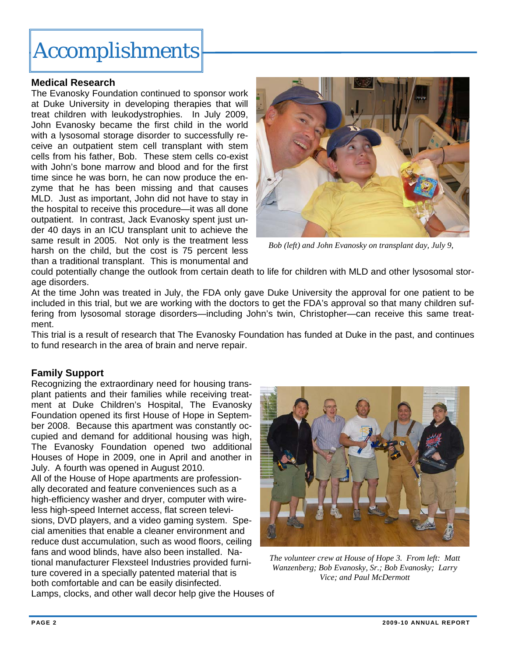# *Accomplishments*

## **Medical Research**

The Evanosky Foundation continued to sponsor work at Duke University in developing therapies that will treat children with leukodystrophies. In July 2009, John Evanosky became the first child in the world with a lysosomal storage disorder to successfully receive an outpatient stem cell transplant with stem cells from his father, Bob. These stem cells co-exist with John's bone marrow and blood and for the first time since he was born, he can now produce the enzyme that he has been missing and that causes MLD. Just as important, John did not have to stay in the hospital to receive this procedure—it was all done outpatient. In contrast, Jack Evanosky spent just under 40 days in an ICU transplant unit to achieve the same result in 2005. Not only is the treatment less harsh on the child, but the cost is 75 percent less than a traditional transplant. This is monumental and



*Bob (left) and John Evanosky on transplant day, July 9,* 

could potentially change the outlook from certain death to life for children with MLD and other lysosomal storage disorders.

At the time John was treated in July, the FDA only gave Duke University the approval for one patient to be included in this trial, but we are working with the doctors to get the FDA's approval so that many children suffering from lysosomal storage disorders—including John's twin, Christopher—can receive this same treatment.

This trial is a result of research that The Evanosky Foundation has funded at Duke in the past, and continues to fund research in the area of brain and nerve repair.

# **Family Support**

Recognizing the extraordinary need for housing transplant patients and their families while receiving treatment at Duke Children's Hospital, The Evanosky Foundation opened its first House of Hope in September 2008. Because this apartment was constantly occupied and demand for additional housing was high, The Evanosky Foundation opened two additional Houses of Hope in 2009, one in April and another in July. A fourth was opened in August 2010. All of the House of Hope apartments are professionally decorated and feature conveniences such as a high-efficiency washer and dryer, computer with wireless high-speed Internet access, flat screen televisions, DVD players, and a video gaming system. Special amenities that enable a cleaner environment and reduce dust accumulation, such as wood floors, ceiling fans and wood blinds, have also been installed. National manufacturer Flexsteel Industries provided furniture covered in a specially patented material that is both comfortable and can be easily disinfected. Lamps, clocks, and other wall decor help give the Houses of



*The volunteer crew at House of Hope 3. From left: Matt Wanzenberg; Bob Evanosky, Sr.; Bob Evanosky; Larry Vice; and Paul McDermott*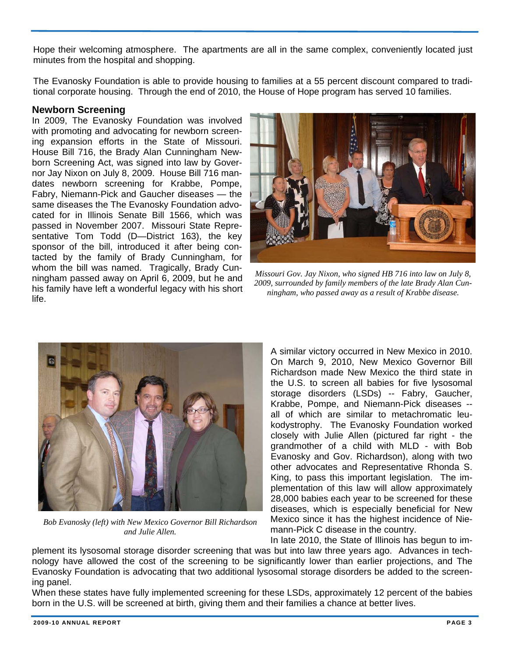Hope their welcoming atmosphere. The apartments are all in the same complex, conveniently located just minutes from the hospital and shopping.

The Evanosky Foundation is able to provide housing to families at a 55 percent discount compared to traditional corporate housing. Through the end of 2010, the House of Hope program has served 10 families.

### **Newborn Screening**

In 2009, The Evanosky Foundation was involved with promoting and advocating for newborn screening expansion efforts in the State of Missouri. House Bill 716, the Brady Alan Cunningham Newborn Screening Act, was signed into law by Governor Jay Nixon on July 8, 2009. House Bill 716 mandates newborn screening for Krabbe, Pompe, Fabry, Niemann-Pick and Gaucher diseases — the same diseases the The Evanosky Foundation advocated for in Illinois Senate Bill 1566, which was passed in November 2007. Missouri State Representative Tom Todd (D—District 163), the key sponsor of the bill, introduced it after being contacted by the family of Brady Cunningham, for whom the bill was named. Tragically, Brady Cunningham passed away on April 6, 2009, but he and his family have left a wonderful legacy with his short life.



*Missouri Gov. Jay Nixon, who signed HB 716 into law on July 8, 2009, surrounded by family members of the late Brady Alan Cunningham, who passed away as a result of Krabbe disease.* 



*Bob Evanosky (left) with New Mexico Governor Bill Richardson and Julie Allen.* 

A similar victory occurred in New Mexico in 2010. On March 9, 2010, New Mexico Governor Bill Richardson made New Mexico the third state in the U.S. to screen all babies for five lysosomal storage disorders (LSDs) -- Fabry, Gaucher, Krabbe, Pompe, and Niemann-Pick diseases - all of which are similar to metachromatic leukodystrophy. The Evanosky Foundation worked closely with Julie Allen (pictured far right - the grandmother of a child with MLD - with Bob Evanosky and Gov. Richardson), along with two other advocates and Representative Rhonda S. King, to pass this important legislation. The implementation of this law will allow approximately 28,000 babies each year to be screened for these diseases, which is especially beneficial for New Mexico since it has the highest incidence of Niemann-Pick C disease in the country. In late 2010, the State of Illinois has begun to im-

plement its lysosomal storage disorder screening that was but into law three years ago. Advances in technology have allowed the cost of the screening to be significantly lower than earlier projections, and The Evanosky Foundation is advocating that two additional lysosomal storage disorders be added to the screening panel.

When these states have fully implemented screening for these LSDs, approximately 12 percent of the babies born in the U.S. will be screened at birth, giving them and their families a chance at better lives.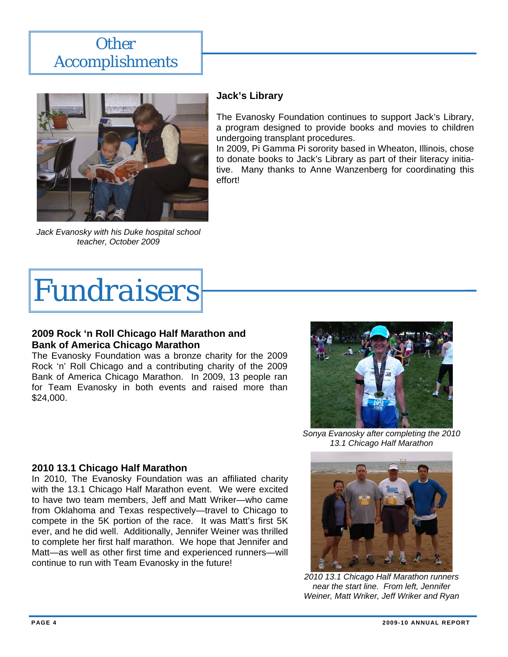# *Other Accomplishments*



*Jack Evanosky with his Duke hospital school teacher, October 2009* 

# **Jack's Library**

The Evanosky Foundation continues to support Jack's Library, a program designed to provide books and movies to children undergoing transplant procedures.

In 2009, Pi Gamma Pi sorority based in Wheaton, Illinois, chose to donate books to Jack's Library as part of their literacy initiative. Many thanks to Anne Wanzenberg for coordinating this effort!

*Fundraisers* 

# **2009 Rock 'n Roll Chicago Half Marathon and Bank of America Chicago Marathon**

The Evanosky Foundation was a bronze charity for the 2009 Rock 'n' Roll Chicago and a contributing charity of the 2009 Bank of America Chicago Marathon. In 2009, 13 people ran for Team Evanosky in both events and raised more than \$24,000.



*Sonya Evanosky after completing the 2010 13.1 Chicago Half Marathon* 



*2010 13.1 Chicago Half Marathon runners near the start line. From left, Jennifer Weiner, Matt Wriker, Jeff Wriker and Ryan* 

# **2010 13.1 Chicago Half Marathon**

In 2010, The Evanosky Foundation was an affiliated charity with the 13.1 Chicago Half Marathon event. We were excited to have two team members, Jeff and Matt Wriker—who came from Oklahoma and Texas respectively—travel to Chicago to compete in the 5K portion of the race. It was Matt's first 5K ever, and he did well. Additionally, Jennifer Weiner was thrilled to complete her first half marathon. We hope that Jennifer and Matt—as well as other first time and experienced runners—will continue to run with Team Evanosky in the future!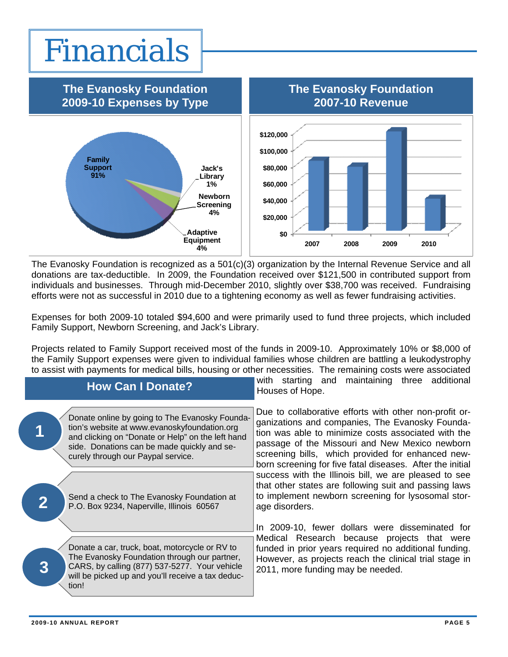# *Financials*



The Evanosky Foundation is recognized as a 501(c)(3) organization by the Internal Revenue Service and all donations are tax-deductible. In 2009, the Foundation received over \$121,500 in contributed support from individuals and businesses. Through mid-December 2010, slightly over \$38,700 was received. Fundraising efforts were not as successful in 2010 due to a tightening economy as well as fewer fundraising activities.

Expenses for both 2009-10 totaled \$94,600 and were primarily used to fund three projects, which included Family Support, Newborn Screening, and Jack's Library.

Projects related to Family Support received most of the funds in 2009-10. Approximately 10% or \$8,000 of the Family Support expenses were given to individual families whose children are battling a leukodystrophy to assist with payments for medical bills, housing or other necessities. The remaining costs were associated

| <b>How Can I Donate?</b>                                                                                                                                                                                                                 | starting and maintaining three additional<br>with<br>Houses of Hope.                                                                                                                                                                                                                                                                 |
|------------------------------------------------------------------------------------------------------------------------------------------------------------------------------------------------------------------------------------------|--------------------------------------------------------------------------------------------------------------------------------------------------------------------------------------------------------------------------------------------------------------------------------------------------------------------------------------|
| Donate online by going to The Evanosky Founda-<br>tion's website at www.evanoskyfoundation.org<br>and clicking on "Donate or Help" on the left hand<br>side. Donations can be made quickly and se-<br>curely through our Paypal service. | Due to collaborative efforts with other non-profit or-<br>ganizations and companies, The Evanosky Founda-<br>tion was able to minimize costs associated with the<br>passage of the Missouri and New Mexico newborn<br>screening bills, which provided for enhanced new-<br>born screening for five fatal diseases. After the initial |
| Send a check to The Evanosky Foundation at<br>$\overline{\mathbf{2}}$<br>P.O. Box 9234, Naperville, Illinois 60567                                                                                                                       | success with the Illinois bill, we are pleased to see<br>that other states are following suit and passing laws<br>to implement newborn screening for lysosomal stor-<br>age disorders.<br>In 2009-10, fewer dollars were disseminated for                                                                                            |
| Donate a car, truck, boat, motorcycle or RV to<br>The Evanosky Foundation through our partner,<br>CARS, by calling (877) 537-5277. Your vehicle<br>will be picked up and you'll receive a tax deduc-<br>tion!                            | Medical Research because projects that were<br>funded in prior years required no additional funding.<br>However, as projects reach the clinical trial stage in<br>2011, more funding may be needed.                                                                                                                                  |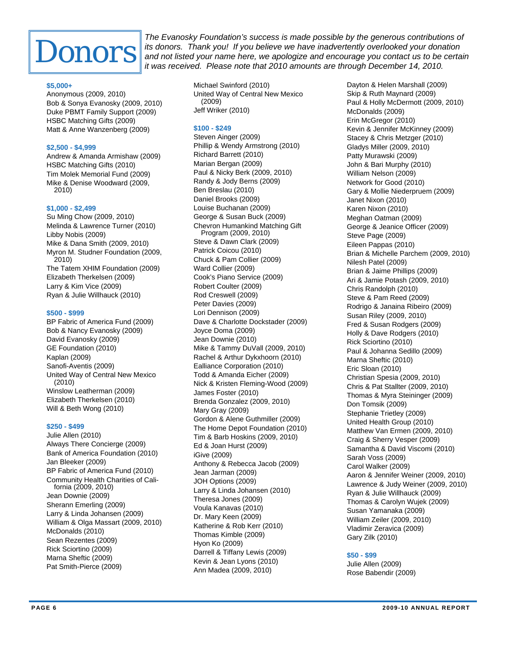

*The Evanosky Foundation's success is made possible by the generous contributions of its donors. Thank you! If you believe we have inadvertently overlooked your donation and not listed your name here, we apologize and encourage you contact us to be certain it was received. Please note that 2010 amounts are through December 14, 2010.* 

#### **\$5,000+**

Anonymous (2009, 2010) Bob & Sonya Evanosky (2009, 2010) Duke PBMT Family Support (2009) HSBC Matching Gifts (2009) Matt & Anne Wanzenberg (2009)

#### **\$2,500 - \$4,999**

Andrew & Amanda Armishaw (2009) HSBC Matching Gifts (2010) Tim Molek Memorial Fund (2009) Mike & Denise Woodward (2009, 2010)

#### **\$1,000 - \$2,499**

Su Ming Chow (2009, 2010) Melinda & Lawrence Turner (2010) Libby Nobis (2009) Mike & Dana Smith (2009, 2010) Myron M. Studner Foundation (2009, 2010) The Tatem XHIM Foundation (2009) Elizabeth Therkelsen (2009) Larry & Kim Vice (2009) Ryan & Julie Willhauck (2010)

#### **\$500 - \$999**

BP Fabric of America Fund (2009) Bob & Nancy Evanosky (2009) David Evanosky (2009) GE Foundation (2010) Kaplan (2009) Sanofi-Aventis (2009) United Way of Central New Mexico (2010) Winslow Leatherman (2009) Elizabeth Therkelsen (2010) Will & Beth Wong (2010)

#### **\$250 - \$499**

Julie Allen (2010) Always There Concierge (2009) Bank of America Foundation (2010) Jan Bleeker (2009) BP Fabric of America Fund (2010) Community Health Charities of California (2009, 2010) Jean Downie (2009) Sherann Emerling (2009) Larry & Linda Johansen (2009) William & Olga Massart (2009, 2010) McDonalds (2010) Sean Rezentes (2009) Rick Sciortino (2009) Marna Sheftic (2009) Pat Smith-Pierce (2009)

Michael Swinford (2010) United Way of Central New Mexico (2009) Jeff Wriker (2010)

#### **\$100 - \$249**

Steven Ainger (2009) Phillip & Wendy Armstrong (2010) Richard Barrett (2010) Marian Bergan (2009) Paul & Nicky Berk (2009, 2010) Randy & Jody Berns (2009) Ben Breslau (2010) Daniel Brooks (2009) Louise Buchanan (2009) George & Susan Buck (2009) Chevron Humankind Matching Gift Program (2009, 2010) Steve & Dawn Clark (2009) Patrick Coicou (2010) Chuck & Pam Collier (2009) Ward Collier (2009) Cook's Piano Service (2009) Robert Coulter (2009) Rod Creswell (2009) Peter Davies (2009) Lori Dennison (2009) Dave & Charlotte Dockstader (2009) Joyce Doma (2009) Jean Downie (2010) Mike & Tammy DuVall (2009, 2010) Rachel & Arthur Dykxhoorn (2010) Ealliance Corporation (2010) Todd & Amanda Eicher (2009) Nick & Kristen Fleming-Wood (2009) James Foster (2010) Brenda Gonzalez (2009, 2010) Mary Gray (2009) Gordon & Alene Guthmiller (2009) The Home Depot Foundation (2010) Tim & Barb Hoskins (2009, 2010) Ed & Joan Hurst (2009) iGive (2009) Anthony & Rebecca Jacob (2009) Jean Jarman (2009) JOH Options (2009) Larry & Linda Johansen (2010) Theresa Jones (2009) Voula Kanavas (2010) Dr. Mary Keen (2009) Katherine & Rob Kerr (2010) Thomas Kimble (2009) Hyon Ko (2009) Darrell & Tiffany Lewis (2009) Kevin & Jean Lyons (2010) Ann Madea (2009, 2010)

Dayton & Helen Marshall (2009) Skip & Ruth Maynard (2009) Paul & Holly McDermott (2009, 2010) McDonalds (2009) Erin McGregor (2010) Kevin & Jennifer McKinney (2009) Stacey & Chris Metzger (2010) Gladys Miller (2009, 2010) Patty Murawski (2009) John & Bari Murphy (2010) William Nelson (2009) Network for Good (2010) Gary & Mollie Niederpruem (2009) Janet Nixon (2010) Karen Nixon (2010) Meghan Oatman (2009) George & Jeanice Officer (2009) Steve Page (2009) Eileen Pappas (2010) Brian & Michelle Parchem (2009, 2010) Nilesh Patel (2009) Brian & Jaime Phillips (2009) Ari & Jamie Potash (2009, 2010) Chris Randolph (2010) Steve & Pam Reed (2009) Rodrigo & Janaina Ribeiro (2009) Susan Riley (2009, 2010) Fred & Susan Rodgers (2009) Holly & Dave Rodgers (2010) Rick Sciortino (2010) Paul & Johanna Sedillo (2009) Marna Sheftic (2010) Eric Sloan (2010) Christian Spesia (2009, 2010) Chris & Pat Stallter (2009, 2010) Thomas & Myra Steininger (2009) Don Tomsik (2009) Stephanie Trietley (2009) United Health Group (2010) Matthew Van Ermen (2009, 2010) Craig & Sherry Vesper (2009) Samantha & David Viscomi (2010) Sarah Voss (2009) Carol Walker (2009) Aaron & Jennifer Weiner (2009, 2010) Lawrence & Judy Weiner (2009, 2010) Ryan & Julie Willhauck (2009) Thomas & Carolyn Wujek (2009) Susan Yamanaka (2009) William Zeiler (2009, 2010) Vladimir Zeravica (2009) Gary Zilk (2010)

#### **\$50 - \$99**

Julie Allen (2009) Rose Babendir (2009)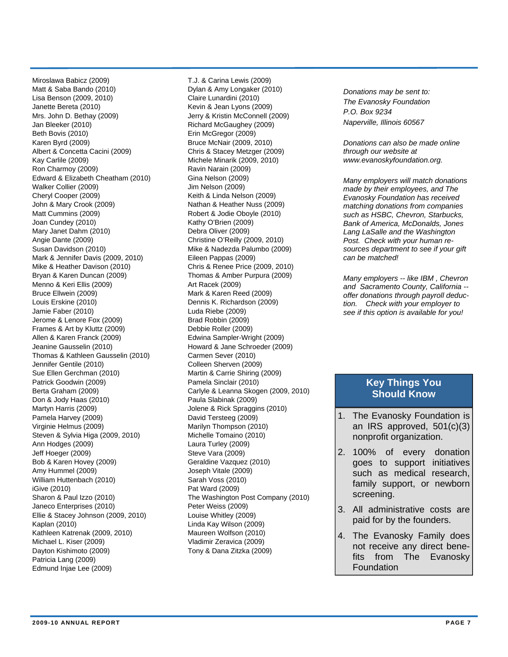Miroslawa Babicz (2009) Matt & Saba Bando (2010) Lisa Benson (2009, 2010) Janette Bereta (2010) Mrs. John D. Bethay (2009) Jan Bleeker (2010) Beth Bovis (2010) Karen Byrd (2009) Albert & Concetta Cacini (2009) Kay Carlile (2009) Ron Charmoy (2009) Edward & Elizabeth Cheatham (2010) Walker Collier (2009) Cheryl Cooper (2009) John & Mary Crook (2009) Matt Cummins (2009) Joan Cundey (2010) Mary Janet Dahm (2010) Angie Dante (2009) Susan Davidson (2010) Mark & Jennifer Davis (2009, 2010) Mike & Heather Davison (2010) Bryan & Karen Duncan (2009) Menno & Keri Ellis (2009) Bruce Ellwein (2009) Louis Erskine (2010) Jamie Faber (2010) Jerome & Lenore Fox (2009) Frames & Art by Kluttz (2009) Allen & Karen Franck (2009) Jeanine Gausselin (2010) Thomas & Kathleen Gausselin (2010) Jennifer Gentile (2010) Sue Ellen Gerchman (2010) Patrick Goodwin (2009) Berta Graham (2009) Don & Jody Haas (2010) Martyn Harris (2009) Pamela Harvey (2009) Virginie Helmus (2009) Steven & Sylvia Higa (2009, 2010) Ann Hodges (2009) Jeff Hoeger (2009) Bob & Karen Hovey (2009) Amy Hummel (2009) William Huttenbach (2010) iGive (2010) Sharon & Paul Izzo (2010) Janeco Enterprises (2010) Ellie & Stacey Johnson (2009, 2010) Kaplan (2010) Kathleen Katrenak (2009, 2010) Michael L. Kiser (2009) Dayton Kishimoto (2009) Patricia Lang (2009) Edmund Injae Lee (2009)

T.J. & Carina Lewis (2009) Dylan & Amy Longaker (2010) Claire Lunardini (2010) Kevin & Jean Lyons (2009) Jerry & Kristin McConnell (2009) Richard McGaughey (2009) Erin McGregor (2009) Bruce McNair (2009, 2010) Chris & Stacey Metzger (2009) Michele Minarik (2009, 2010) Ravin Narain (2009) Gina Nelson (2009) Jim Nelson (2009) Keith & Linda Nelson (2009) Nathan & Heather Nuss (2009) Robert & Jodie Oboyle (2010) Kathy O'Brien (2009) Debra Oliver (2009) Christine O'Reilly (2009, 2010) Mike & Nadezda Palumbo (2009) Eileen Pappas (2009) Chris & Renee Price (2009, 2010) Thomas & Amber Purpura (2009) Art Racek (2009) Mark & Karen Reed (2009) Dennis K. Richardson (2009) Luda Riebe (2009) Brad Robbin (2009) Debbie Roller (2009) Edwina Sampler-Wright (2009) Howard & Jane Schroeder (2009) Carmen Sever (2010) Colleen Sherven (2009) Martin & Carrie Shiring (2009) Pamela Sinclair (2010) Carlyle & Leanna Skogen (2009, 2010) Paula Slabinak (2009) Jolene & Rick Spraggins (2010) David Tersteeg (2009) Marilyn Thompson (2010) Michelle Tomaino (2010) Laura Turley (2009) Steve Vara (2009) Geraldine Vazquez (2010) Joseph Vitale (2009) Sarah Voss (2010) Pat Ward (2009) The Washington Post Company (2010) Peter Weiss (2009) Louise Whitley (2009) Linda Kay Wilson (2009) Maureen Wolfson (2010) Vladimir Zeravica (2009) Tony & Dana Zitzka (2009)

*Donations may be sent to: The Evanosky Foundation P.O. Box 9234 Naperville, Illinois 60567* 

*Donations can also be made online through our website at www.evanoskyfoundation.org.* 

*Many employers will match donations made by their employees, and The Evanosky Foundation has received matching donations from companies such as HSBC, Chevron, Starbucks, Bank of America, McDonalds, Jones Lang LaSalle and the Washington Post. Check with your human resources department to see if your gift can be matched!* 

*Many employers -- like IBM , Chevron and Sacramento County, California - offer donations through payroll deduction. Check with your employer to see if this option is available for you!*

## **Key Things You Should Know**

- 1. The Evanosky Foundation is an IRS approved, 501(c)(3) nonprofit organization.
- 2. 100% of every donation goes to support initiatives such as medical research, family support, or newborn screening.
- 3. All administrative costs are paid for by the founders.
- 4. The Evanosky Family does not receive any direct benefits from The Evanosky Foundation